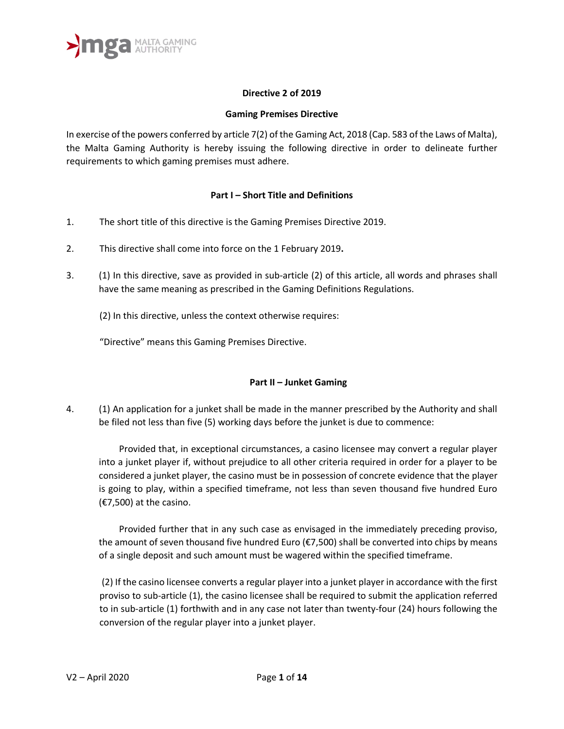

## **Directive 2 of 2019**

## **Gaming Premises Directive**

In exercise of the powers conferred by article 7(2) of the Gaming Act, 2018 (Cap. 583 of the Laws of Malta), the Malta Gaming Authority is hereby issuing the following directive in order to delineate further requirements to which gaming premises must adhere.

## **Part I – Short Title and Definitions**

- 1. The short title of this directive is the Gaming Premises Directive 2019.
- 2. This directive shall come into force on the 1 February 2019**.**
- 3. (1) In this directive, save as provided in sub-article (2) of this article, all words and phrases shall have the same meaning as prescribed in the Gaming Definitions Regulations.
	- (2) In this directive, unless the context otherwise requires:

"Directive" means this Gaming Premises Directive.

## **Part II – Junket Gaming**

4. (1) An application for a junket shall be made in the manner prescribed by the Authority and shall be filed not less than five (5) working days before the junket is due to commence:

Provided that, in exceptional circumstances, a casino licensee may convert a regular player into a junket player if, without prejudice to all other criteria required in order for a player to be considered a junket player, the casino must be in possession of concrete evidence that the player is going to play, within a specified timeframe, not less than seven thousand five hundred Euro (€7,500) at the casino.

Provided further that in any such case as envisaged in the immediately preceding proviso, the amount of seven thousand five hundred Euro ( $\epsilon$ 7,500) shall be converted into chips by means of a single deposit and such amount must be wagered within the specified timeframe.

(2) If the casino licensee converts a regular player into a junket player in accordance with the first proviso to sub-article (1), the casino licensee shall be required to submit the application referred to in sub-article (1) forthwith and in any case not later than twenty-four (24) hours following the conversion of the regular player into a junket player.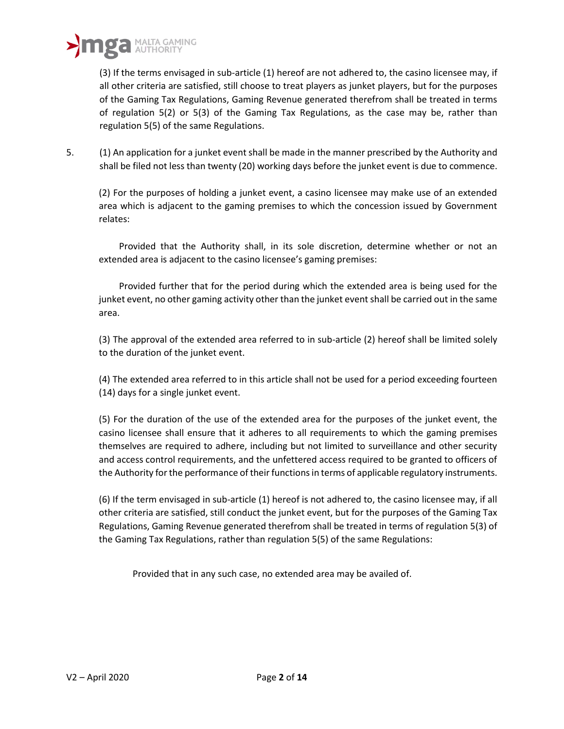(3) If the terms envisaged in sub-article (1) hereof are not adhered to, the casino licensee may, if all other criteria are satisfied, still choose to treat players as junket players, but for the purposes of the Gaming Tax Regulations, Gaming Revenue generated therefrom shall be treated in terms of regulation 5(2) or 5(3) of the Gaming Tax Regulations, as the case may be, rather than regulation 5(5) of the same Regulations.

5. (1) An application for a junket event shall be made in the manner prescribed by the Authority and shall be filed not less than twenty (20) working days before the junket event is due to commence.

(2) For the purposes of holding a junket event, a casino licensee may make use of an extended area which is adjacent to the gaming premises to which the concession issued by Government relates:

Provided that the Authority shall, in its sole discretion, determine whether or not an extended area is adjacent to the casino licensee's gaming premises:

Provided further that for the period during which the extended area is being used for the junket event, no other gaming activity other than the junket event shall be carried out in the same area.

(3) The approval of the extended area referred to in sub-article (2) hereof shall be limited solely to the duration of the junket event.

(4) The extended area referred to in this article shall not be used for a period exceeding fourteen (14) days for a single junket event.

(5) For the duration of the use of the extended area for the purposes of the junket event, the casino licensee shall ensure that it adheres to all requirements to which the gaming premises themselves are required to adhere, including but not limited to surveillance and other security and access control requirements, and the unfettered access required to be granted to officers of the Authority for the performance of their functions in terms of applicable regulatory instruments.

(6) If the term envisaged in sub-article (1) hereof is not adhered to, the casino licensee may, if all other criteria are satisfied, still conduct the junket event, but for the purposes of the Gaming Tax Regulations, Gaming Revenue generated therefrom shall be treated in terms of regulation 5(3) of the Gaming Tax Regulations, rather than regulation 5(5) of the same Regulations:

Provided that in any such case, no extended area may be availed of.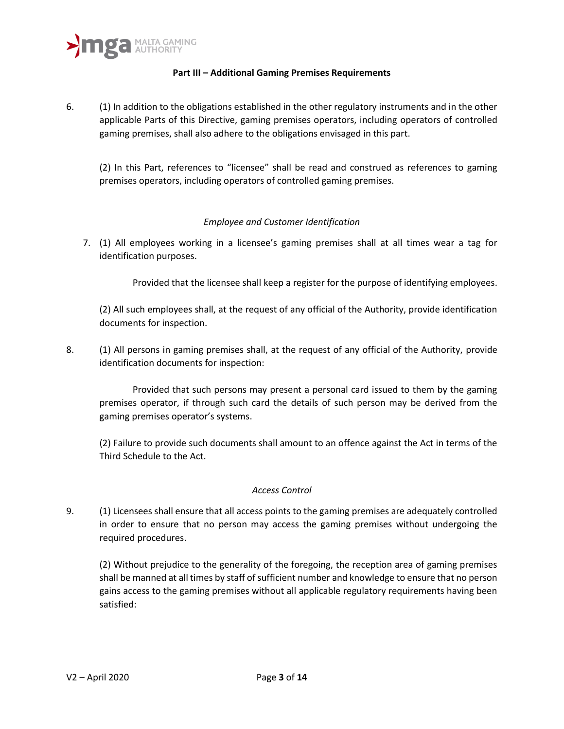

## **Part III – Additional Gaming Premises Requirements**

6. (1) In addition to the obligations established in the other regulatory instruments and in the other applicable Parts of this Directive, gaming premises operators, including operators of controlled gaming premises, shall also adhere to the obligations envisaged in this part.

(2) In this Part, references to "licensee" shall be read and construed as references to gaming premises operators, including operators of controlled gaming premises.

## *Employee and Customer Identification*

7. (1) All employees working in a licensee's gaming premises shall at all times wear a tag for identification purposes.

Provided that the licensee shall keep a register for the purpose of identifying employees.

(2) All such employees shall, at the request of any official of the Authority, provide identification documents for inspection.

8. (1) All persons in gaming premises shall, at the request of any official of the Authority, provide identification documents for inspection:

Provided that such persons may present a personal card issued to them by the gaming premises operator, if through such card the details of such person may be derived from the gaming premises operator's systems.

(2) Failure to provide such documents shall amount to an offence against the Act in terms of the Third Schedule to the Act.

## *Access Control*

9. (1) Licensees shall ensure that all access points to the gaming premises are adequately controlled in order to ensure that no person may access the gaming premises without undergoing the required procedures.

(2) Without prejudice to the generality of the foregoing, the reception area of gaming premises shall be manned at all times by staff of sufficient number and knowledge to ensure that no person gains access to the gaming premises without all applicable regulatory requirements having been satisfied: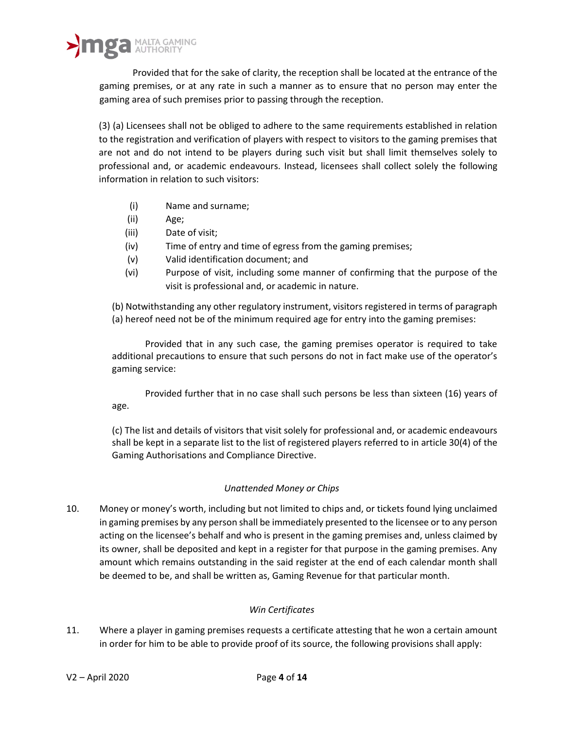Provided that for the sake of clarity, the reception shall be located at the entrance of the gaming premises, or at any rate in such a manner as to ensure that no person may enter the gaming area of such premises prior to passing through the reception.

(3) (a) Licensees shall not be obliged to adhere to the same requirements established in relation to the registration and verification of players with respect to visitors to the gaming premises that are not and do not intend to be players during such visit but shall limit themselves solely to professional and, or academic endeavours. Instead, licensees shall collect solely the following information in relation to such visitors:

- (i) Name and surname;
- (ii) Age;
- (iii) Date of visit;
- (iv) Time of entry and time of egress from the gaming premises;
- (v) Valid identification document; and
- (vi) Purpose of visit, including some manner of confirming that the purpose of the visit is professional and, or academic in nature.

(b) Notwithstanding any other regulatory instrument, visitors registered in terms of paragraph (a) hereof need not be of the minimum required age for entry into the gaming premises:

Provided that in any such case, the gaming premises operator is required to take additional precautions to ensure that such persons do not in fact make use of the operator's gaming service:

Provided further that in no case shall such persons be less than sixteen (16) years of age.

(c) The list and details of visitors that visit solely for professional and, or academic endeavours shall be kept in a separate list to the list of registered players referred to in article 30(4) of the Gaming Authorisations and Compliance Directive.

## *Unattended Money or Chips*

10. Money or money's worth, including but not limited to chips and, or tickets found lying unclaimed in gaming premises by any person shall be immediately presented to the licensee or to any person acting on the licensee's behalf and who is present in the gaming premises and, unless claimed by its owner, shall be deposited and kept in a register for that purpose in the gaming premises. Any amount which remains outstanding in the said register at the end of each calendar month shall be deemed to be, and shall be written as, Gaming Revenue for that particular month.

## *Win Certificates*

11. Where a player in gaming premises requests a certificate attesting that he won a certain amount in order for him to be able to provide proof of its source, the following provisions shall apply: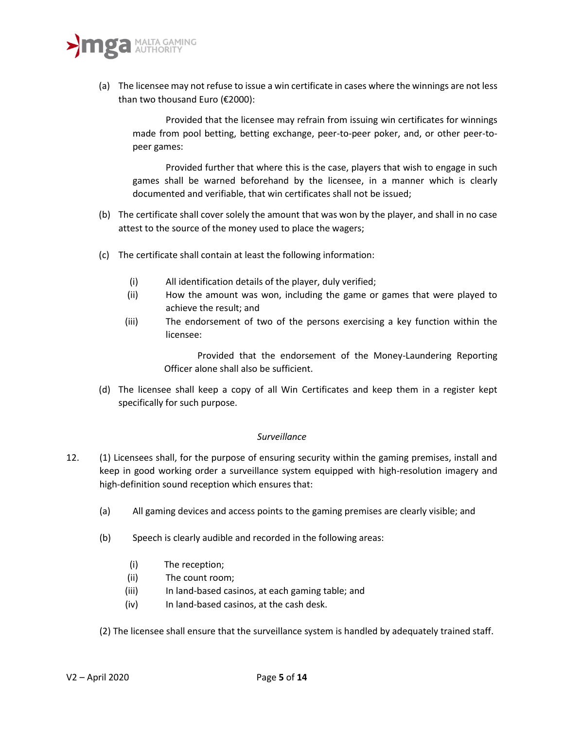

(a) The licensee may not refuse to issue a win certificate in cases where the winnings are not less than two thousand Euro (€2000):

Provided that the licensee may refrain from issuing win certificates for winnings made from pool betting, betting exchange, peer-to-peer poker, and, or other peer-topeer games:

Provided further that where this is the case, players that wish to engage in such games shall be warned beforehand by the licensee, in a manner which is clearly documented and verifiable, that win certificates shall not be issued;

- (b) The certificate shall cover solely the amount that was won by the player, and shall in no case attest to the source of the money used to place the wagers;
- (c) The certificate shall contain at least the following information:
	- (i) All identification details of the player, duly verified;
	- (ii) How the amount was won, including the game or games that were played to achieve the result; and
	- (iii) The endorsement of two of the persons exercising a key function within the licensee:

Provided that the endorsement of the Money-Laundering Reporting Officer alone shall also be sufficient.

(d) The licensee shall keep a copy of all Win Certificates and keep them in a register kept specifically for such purpose.

#### *Surveillance*

- 12. (1) Licensees shall, for the purpose of ensuring security within the gaming premises, install and keep in good working order a surveillance system equipped with high-resolution imagery and high-definition sound reception which ensures that:
	- (a) All gaming devices and access points to the gaming premises are clearly visible; and
	- (b) Speech is clearly audible and recorded in the following areas:
		- (i) The reception;
		- (ii) The count room;
		- (iii) In land-based casinos, at each gaming table; and
		- (iv) In land-based casinos, at the cash desk.

(2) The licensee shall ensure that the surveillance system is handled by adequately trained staff.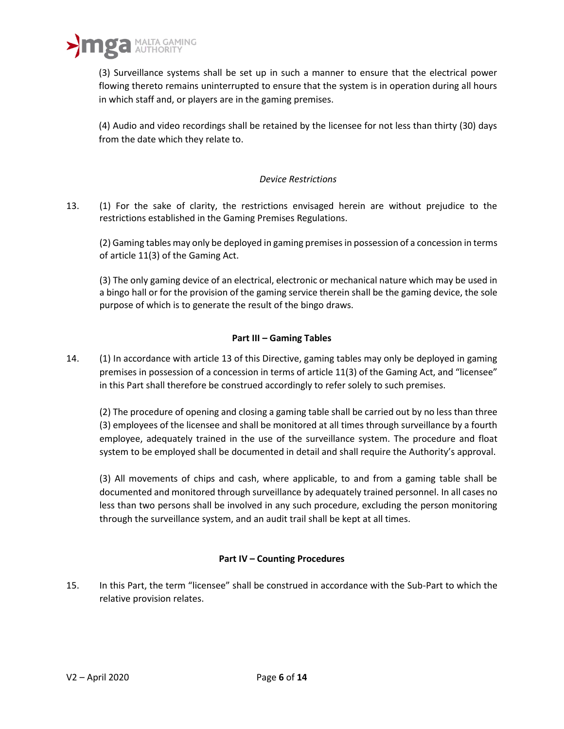

(3) Surveillance systems shall be set up in such a manner to ensure that the electrical power flowing thereto remains uninterrupted to ensure that the system is in operation during all hours in which staff and, or players are in the gaming premises.

(4) Audio and video recordings shall be retained by the licensee for not less than thirty (30) days from the date which they relate to.

## *Device Restrictions*

13. (1) For the sake of clarity, the restrictions envisaged herein are without prejudice to the restrictions established in the Gaming Premises Regulations.

(2) Gaming tables may only be deployed in gaming premises in possession of a concession in terms of article 11(3) of the Gaming Act.

(3) The only gaming device of an electrical, electronic or mechanical nature which may be used in a bingo hall or for the provision of the gaming service therein shall be the gaming device, the sole purpose of which is to generate the result of the bingo draws.

## **Part III – Gaming Tables**

14. (1) In accordance with article 13 of this Directive, gaming tables may only be deployed in gaming premises in possession of a concession in terms of article 11(3) of the Gaming Act, and "licensee" in this Part shall therefore be construed accordingly to refer solely to such premises.

(2) The procedure of opening and closing a gaming table shall be carried out by no less than three (3) employees of the licensee and shall be monitored at all times through surveillance by a fourth employee, adequately trained in the use of the surveillance system. The procedure and float system to be employed shall be documented in detail and shall require the Authority's approval.

(3) All movements of chips and cash, where applicable, to and from a gaming table shall be documented and monitored through surveillance by adequately trained personnel. In all cases no less than two persons shall be involved in any such procedure, excluding the person monitoring through the surveillance system, and an audit trail shall be kept at all times.

## **Part IV – Counting Procedures**

15. In this Part, the term "licensee" shall be construed in accordance with the Sub-Part to which the relative provision relates.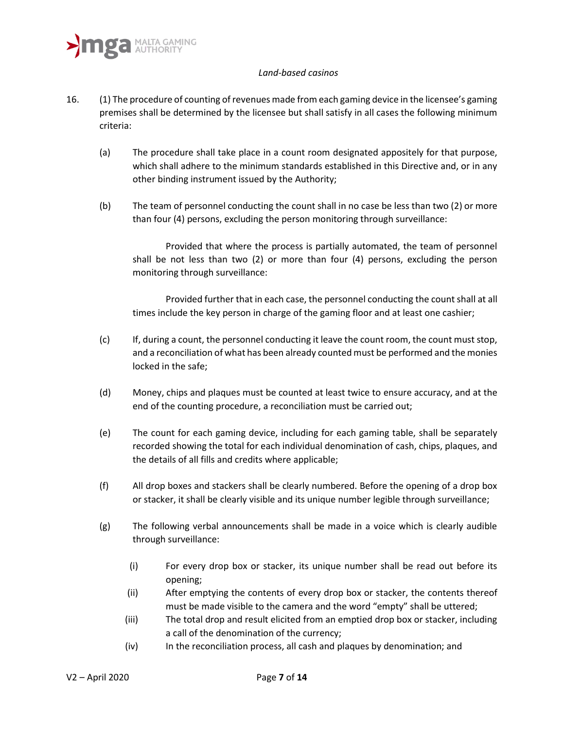#### *Land-based casinos*

- 16. (1) The procedure of counting of revenues made from each gaming device in the licensee's gaming premises shall be determined by the licensee but shall satisfy in all cases the following minimum criteria:
	- (a) The procedure shall take place in a count room designated appositely for that purpose, which shall adhere to the minimum standards established in this Directive and, or in any other binding instrument issued by the Authority;
	- (b) The team of personnel conducting the count shall in no case be less than two (2) or more than four (4) persons, excluding the person monitoring through surveillance:

Provided that where the process is partially automated, the team of personnel shall be not less than two (2) or more than four (4) persons, excluding the person monitoring through surveillance:

Provided further that in each case, the personnel conducting the count shall at all times include the key person in charge of the gaming floor and at least one cashier;

- (c) If, during a count, the personnel conducting it leave the count room, the count must stop, and a reconciliation of what has been already counted must be performed and the monies locked in the safe;
- (d) Money, chips and plaques must be counted at least twice to ensure accuracy, and at the end of the counting procedure, a reconciliation must be carried out;
- (e) The count for each gaming device, including for each gaming table, shall be separately recorded showing the total for each individual denomination of cash, chips, plaques, and the details of all fills and credits where applicable;
- (f) All drop boxes and stackers shall be clearly numbered. Before the opening of a drop box or stacker, it shall be clearly visible and its unique number legible through surveillance;
- (g) The following verbal announcements shall be made in a voice which is clearly audible through surveillance:
	- (i) For every drop box or stacker, its unique number shall be read out before its opening;
	- (ii) After emptying the contents of every drop box or stacker, the contents thereof must be made visible to the camera and the word "empty" shall be uttered;
	- (iii) The total drop and result elicited from an emptied drop box or stacker, including a call of the denomination of the currency;
	- (iv) In the reconciliation process, all cash and plaques by denomination; and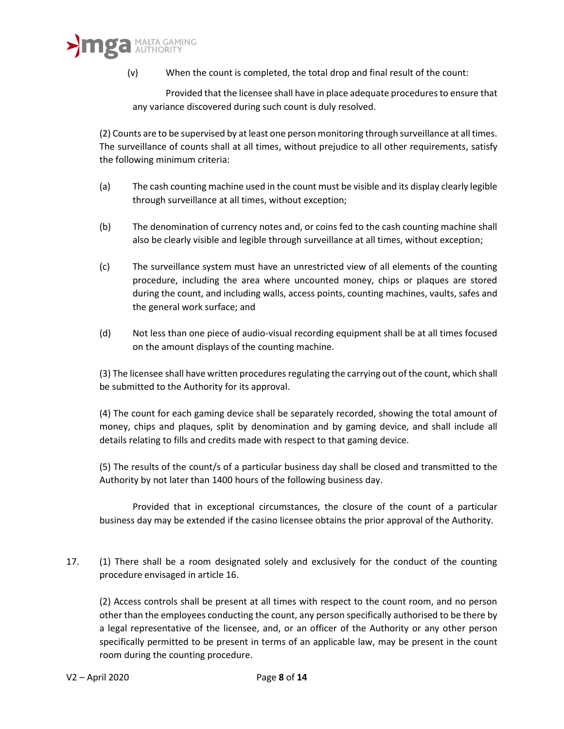(v) When the count is completed, the total drop and final result of the count:

Provided that the licensee shall have in place adequate procedures to ensure that any variance discovered during such count is duly resolved.

(2) Counts are to be supervised by at least one person monitoring through surveillance at all times. The surveillance of counts shall at all times, without prejudice to all other requirements, satisfy the following minimum criteria:

- (a) The cash counting machine used in the count must be visible and its display clearly legible through surveillance at all times, without exception;
- (b) The denomination of currency notes and, or coins fed to the cash counting machine shall also be clearly visible and legible through surveillance at all times, without exception;
- (c) The surveillance system must have an unrestricted view of all elements of the counting procedure, including the area where uncounted money, chips or plaques are stored during the count, and including walls, access points, counting machines, vaults, safes and the general work surface; and
- (d) Not less than one piece of audio-visual recording equipment shall be at all times focused on the amount displays of the counting machine.

(3) The licensee shall have written procedures regulating the carrying out of the count, which shall be submitted to the Authority for its approval.

(4) The count for each gaming device shall be separately recorded, showing the total amount of money, chips and plaques, split by denomination and by gaming device, and shall include all details relating to fills and credits made with respect to that gaming device.

(5) The results of the count/s of a particular business day shall be closed and transmitted to the Authority by not later than 1400 hours of the following business day.

Provided that in exceptional circumstances, the closure of the count of a particular business day may be extended if the casino licensee obtains the prior approval of the Authority.

17. (1) There shall be a room designated solely and exclusively for the conduct of the counting procedure envisaged in article 16.

(2) Access controls shall be present at all times with respect to the count room, and no person other than the employees conducting the count, any person specifically authorised to be there by a legal representative of the licensee, and, or an officer of the Authority or any other person specifically permitted to be present in terms of an applicable law, may be present in the count room during the counting procedure.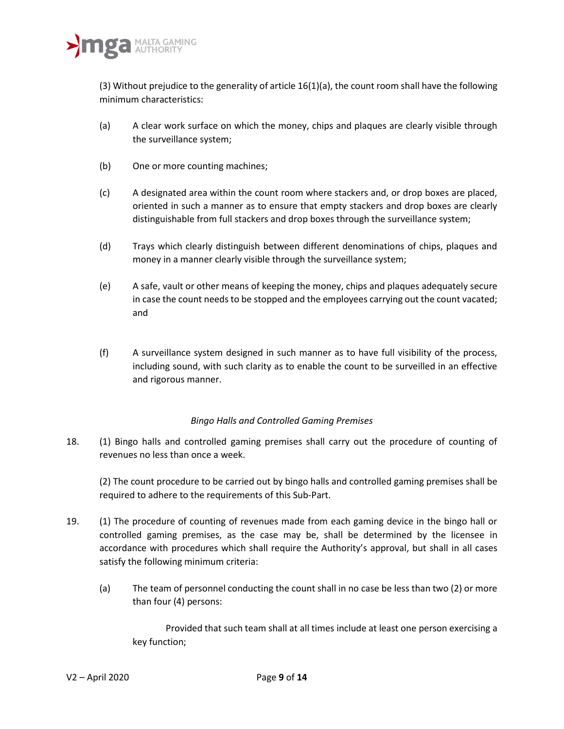(3) Without prejudice to the generality of article 16(1)(a), the count room shall have the following minimum characteristics:

- (a) A clear work surface on which the money, chips and plaques are clearly visible through the surveillance system;
- (b) One or more counting machines;
- (c) A designated area within the count room where stackers and, or drop boxes are placed, oriented in such a manner as to ensure that empty stackers and drop boxes are clearly distinguishable from full stackers and drop boxes through the surveillance system;
- (d) Trays which clearly distinguish between different denominations of chips, plaques and money in a manner clearly visible through the surveillance system;
- (e) A safe, vault or other means of keeping the money, chips and plaques adequately secure in case the count needs to be stopped and the employees carrying out the count vacated; and
- (f) A surveillance system designed in such manner as to have full visibility of the process, including sound, with such clarity as to enable the count to be surveilled in an effective and rigorous manner.

# *Bingo Halls and Controlled Gaming Premises*

18. (1) Bingo halls and controlled gaming premises shall carry out the procedure of counting of revenues no less than once a week.

(2) The count procedure to be carried out by bingo halls and controlled gaming premises shall be required to adhere to the requirements of this Sub-Part.

- 19. (1) The procedure of counting of revenues made from each gaming device in the bingo hall or controlled gaming premises, as the case may be, shall be determined by the licensee in accordance with procedures which shall require the Authority's approval, but shall in all cases satisfy the following minimum criteria:
	- (a) The team of personnel conducting the count shall in no case be less than two (2) or more than four (4) persons:

Provided that such team shall at all times include at least one person exercising a key function;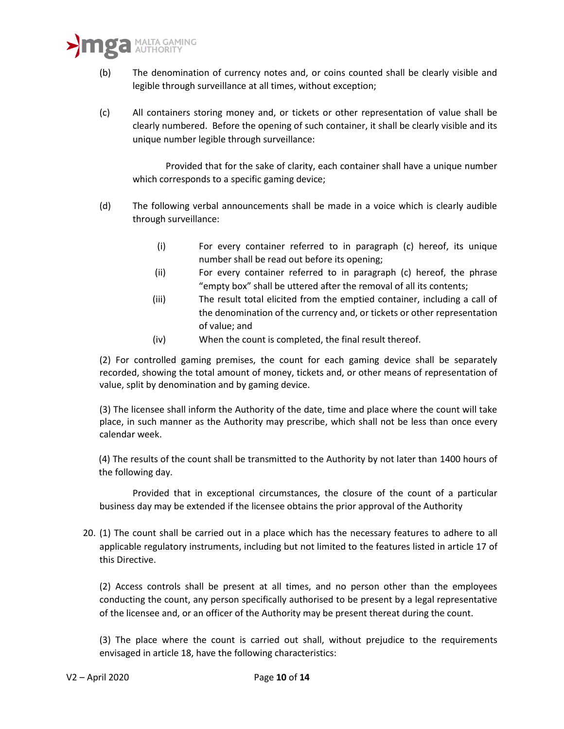- (b) The denomination of currency notes and, or coins counted shall be clearly visible and legible through surveillance at all times, without exception;
- (c) All containers storing money and, or tickets or other representation of value shall be clearly numbered. Before the opening of such container, it shall be clearly visible and its unique number legible through surveillance:

Provided that for the sake of clarity, each container shall have a unique number which corresponds to a specific gaming device;

- (d) The following verbal announcements shall be made in a voice which is clearly audible through surveillance:
	- (i) For every container referred to in paragraph (c) hereof, its unique number shall be read out before its opening;
	- (ii) For every container referred to in paragraph (c) hereof, the phrase "empty box" shall be uttered after the removal of all its contents;
	- (iii) The result total elicited from the emptied container, including a call of the denomination of the currency and, or tickets or other representation of value; and
	- (iv) When the count is completed, the final result thereof.

(2) For controlled gaming premises, the count for each gaming device shall be separately recorded, showing the total amount of money, tickets and, or other means of representation of value, split by denomination and by gaming device.

(3) The licensee shall inform the Authority of the date, time and place where the count will take place, in such manner as the Authority may prescribe, which shall not be less than once every calendar week.

(4) The results of the count shall be transmitted to the Authority by not later than 1400 hours of the following day.

Provided that in exceptional circumstances, the closure of the count of a particular business day may be extended if the licensee obtains the prior approval of the Authority

20. (1) The count shall be carried out in a place which has the necessary features to adhere to all applicable regulatory instruments, including but not limited to the features listed in article 17 of this Directive.

(2) Access controls shall be present at all times, and no person other than the employees conducting the count, any person specifically authorised to be present by a legal representative of the licensee and, or an officer of the Authority may be present thereat during the count.

(3) The place where the count is carried out shall, without prejudice to the requirements envisaged in article 18, have the following characteristics: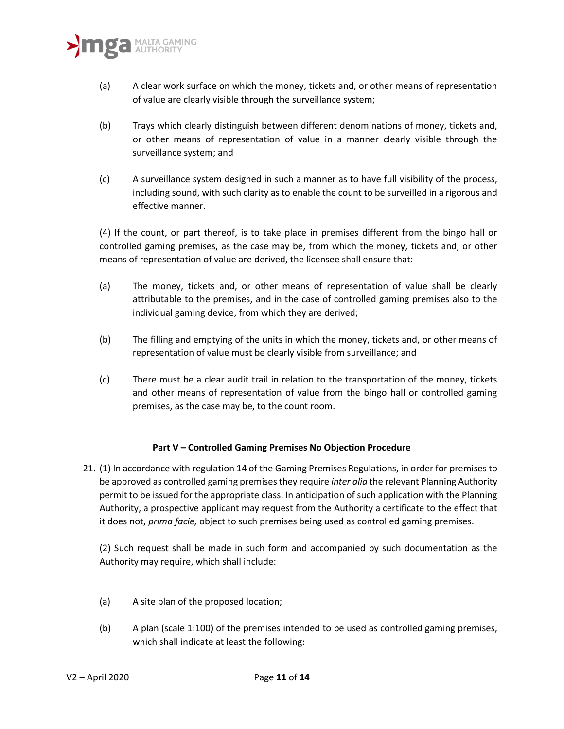

- (a) A clear work surface on which the money, tickets and, or other means of representation of value are clearly visible through the surveillance system;
- (b) Trays which clearly distinguish between different denominations of money, tickets and, or other means of representation of value in a manner clearly visible through the surveillance system; and
- (c) A surveillance system designed in such a manner as to have full visibility of the process, including sound, with such clarity as to enable the count to be surveilled in a rigorous and effective manner.

(4) If the count, or part thereof, is to take place in premises different from the bingo hall or controlled gaming premises, as the case may be, from which the money, tickets and, or other means of representation of value are derived, the licensee shall ensure that:

- (a) The money, tickets and, or other means of representation of value shall be clearly attributable to the premises, and in the case of controlled gaming premises also to the individual gaming device, from which they are derived;
- (b) The filling and emptying of the units in which the money, tickets and, or other means of representation of value must be clearly visible from surveillance; and
- (c) There must be a clear audit trail in relation to the transportation of the money, tickets and other means of representation of value from the bingo hall or controlled gaming premises, as the case may be, to the count room.

# **Part V – Controlled Gaming Premises No Objection Procedure**

21. (1) In accordance with regulation 14 of the Gaming Premises Regulations, in order for premises to be approved as controlled gaming premises they require *inter alia* the relevant Planning Authority permit to be issued for the appropriate class. In anticipation of such application with the Planning Authority, a prospective applicant may request from the Authority a certificate to the effect that it does not, *prima facie,* object to such premises being used as controlled gaming premises.

(2) Such request shall be made in such form and accompanied by such documentation as the Authority may require, which shall include:

- (a) A site plan of the proposed location;
- (b) A plan (scale 1:100) of the premises intended to be used as controlled gaming premises, which shall indicate at least the following: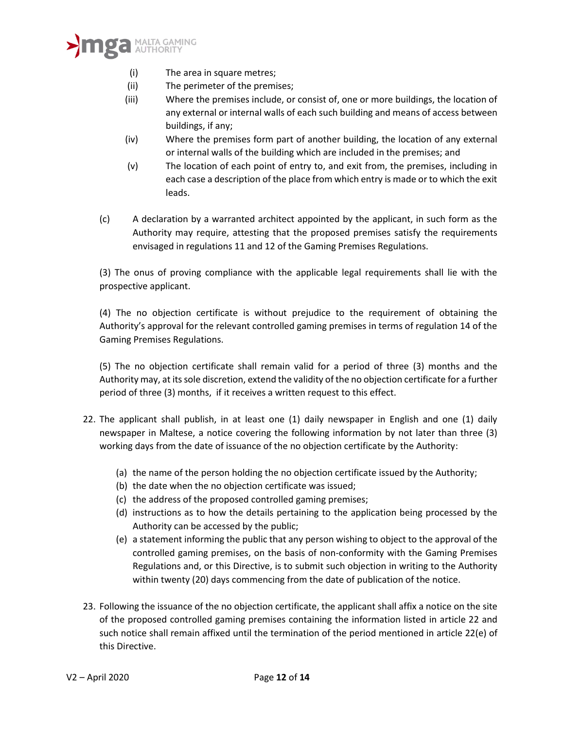

- (i) The area in square metres;
- (ii) The perimeter of the premises;
- (iii) Where the premises include, or consist of, one or more buildings, the location of any external or internal walls of each such building and means of access between buildings, if any;
- (iv) Where the premises form part of another building, the location of any external or internal walls of the building which are included in the premises; and
- (v) The location of each point of entry to, and exit from, the premises, including in each case a description of the place from which entry is made or to which the exit leads.
- (c) A declaration by a warranted architect appointed by the applicant, in such form as the Authority may require, attesting that the proposed premises satisfy the requirements envisaged in regulations 11 and 12 of the Gaming Premises Regulations.

(3) The onus of proving compliance with the applicable legal requirements shall lie with the prospective applicant.

(4) The no objection certificate is without prejudice to the requirement of obtaining the Authority's approval for the relevant controlled gaming premises in terms of regulation 14 of the Gaming Premises Regulations.

(5) The no objection certificate shall remain valid for a period of three (3) months and the Authority may, at its sole discretion, extend the validity of the no objection certificate for a further period of three (3) months, if it receives a written request to this effect.

- 22. The applicant shall publish, in at least one (1) daily newspaper in English and one (1) daily newspaper in Maltese, a notice covering the following information by not later than three (3) working days from the date of issuance of the no objection certificate by the Authority:
	- (a) the name of the person holding the no objection certificate issued by the Authority;
	- (b) the date when the no objection certificate was issued;
	- (c) the address of the proposed controlled gaming premises;
	- (d) instructions as to how the details pertaining to the application being processed by the Authority can be accessed by the public;
	- (e) a statement informing the public that any person wishing to object to the approval of the controlled gaming premises, on the basis of non-conformity with the Gaming Premises Regulations and, or this Directive, is to submit such objection in writing to the Authority within twenty (20) days commencing from the date of publication of the notice.
- 23. Following the issuance of the no objection certificate, the applicant shall affix a notice on the site of the proposed controlled gaming premises containing the information listed in article 22 and such notice shall remain affixed until the termination of the period mentioned in article 22(e) of this Directive.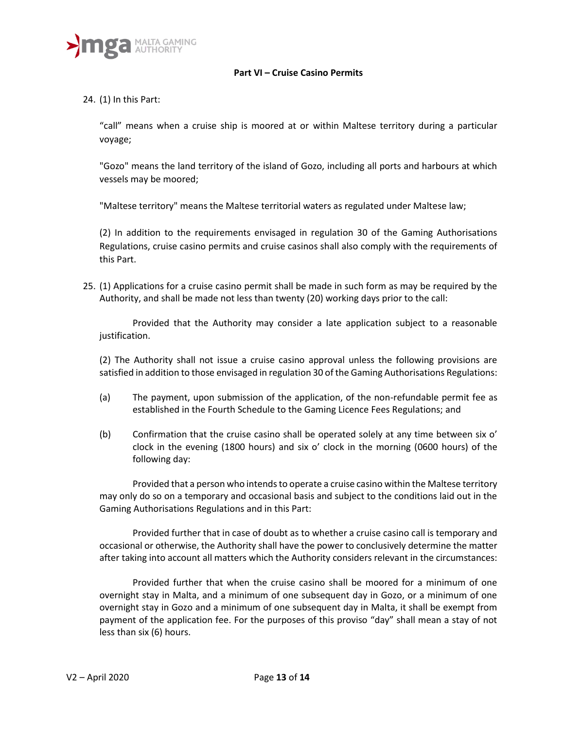

#### **Part VI – Cruise Casino Permits**

24. (1) In this Part:

"call" means when a cruise ship is moored at or within Maltese territory during a particular voyage;

"Gozo" means the land territory of the island of Gozo, including all ports and harbours at which vessels may be moored;

"Maltese territory" means the Maltese territorial waters as regulated under Maltese law;

(2) In addition to the requirements envisaged in regulation 30 of the Gaming Authorisations Regulations, cruise casino permits and cruise casinos shall also comply with the requirements of this Part.

25. (1) Applications for a cruise casino permit shall be made in such form as may be required by the Authority, and shall be made not less than twenty (20) working days prior to the call:

Provided that the Authority may consider a late application subject to a reasonable justification.

(2) The Authority shall not issue a cruise casino approval unless the following provisions are satisfied in addition to those envisaged in regulation 30 of the Gaming Authorisations Regulations:

- (a) The payment, upon submission of the application, of the non-refundable permit fee as established in the Fourth Schedule to the Gaming Licence Fees Regulations; and
- (b) Confirmation that the cruise casino shall be operated solely at any time between six o' clock in the evening (1800 hours) and six o' clock in the morning (0600 hours) of the following day:

Provided that a person who intends to operate a cruise casino within the Maltese territory may only do so on a temporary and occasional basis and subject to the conditions laid out in the Gaming Authorisations Regulations and in this Part:

Provided further that in case of doubt as to whether a cruise casino call is temporary and occasional or otherwise, the Authority shall have the power to conclusively determine the matter after taking into account all matters which the Authority considers relevant in the circumstances:

Provided further that when the cruise casino shall be moored for a minimum of one overnight stay in Malta, and a minimum of one subsequent day in Gozo, or a minimum of one overnight stay in Gozo and a minimum of one subsequent day in Malta, it shall be exempt from payment of the application fee. For the purposes of this proviso "day" shall mean a stay of not less than six (6) hours.